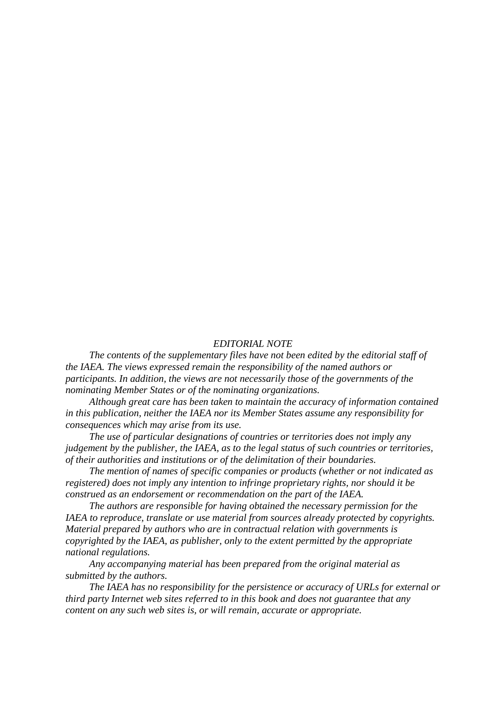#### *EDITORIAL NOTE*

*The contents of the supplementary files have not been edited by the editorial staff of the IAEA. The views expressed remain the responsibility of the named authors or participants. In addition, the views are not necessarily those of the governments of the nominating Member States or of the nominating organizations.* 

*Although great care has been taken to maintain the accuracy of information contained in this publication, neither the IAEA nor its Member States assume any responsibility for consequences which may arise from its use.* 

*The use of particular designations of countries or territories does not imply any judgement by the publisher, the IAEA, as to the legal status of such countries or territories, of their authorities and institutions or of the delimitation of their boundaries.* 

*The mention of names of specific companies or products (whether or not indicated as registered) does not imply any intention to infringe proprietary rights, nor should it be construed as an endorsement or recommendation on the part of the IAEA.* 

*The authors are responsible for having obtained the necessary permission for the IAEA to reproduce, translate or use material from sources already protected by copyrights. Material prepared by authors who are in contractual relation with governments is copyrighted by the IAEA, as publisher, only to the extent permitted by the appropriate national regulations.* 

*Any accompanying material has been prepared from the original material as submitted by the authors.* 

*The IAEA has no responsibility for the persistence or accuracy of URLs for external or third party Internet web sites referred to in this book and does not guarantee that any content on any such web sites is, or will remain, accurate or appropriate.*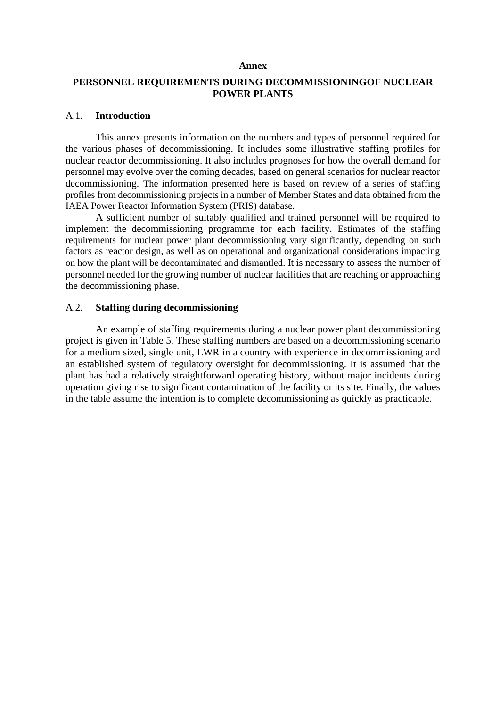#### **Annex**

# **PERSONNEL REQUIREMENTS DURING DECOMMISSIONINGOF NUCLEAR POWER PLANTS**

## A.1. **Introduction**

This annex presents information on the numbers and types of personnel required for the various phases of decommissioning. It includes some illustrative staffing profiles for nuclear reactor decommissioning. It also includes prognoses for how the overall demand for personnel may evolve over the coming decades, based on general scenarios for nuclear reactor decommissioning. The information presented here is based on review of a series of staffing profiles from decommissioning projects in a number of Member States and data obtained from the IAEA Power Reactor Information System (PRIS) database.

A sufficient number of suitably qualified and trained personnel will be required to implement the decommissioning programme for each facility. Estimates of the staffing requirements for nuclear power plant decommissioning vary significantly, depending on such factors as reactor design, as well as on operational and organizational considerations impacting on how the plant will be decontaminated and dismantled. It is necessary to assess the number of personnel needed for the growing number of nuclear facilities that are reaching or approaching the decommissioning phase.

## A.2. **Staffing during decommissioning**

An example of staffing requirements during a nuclear power plant decommissioning project is given in Table 5. These staffing numbers are based on a decommissioning scenario for a medium sized, single unit, LWR in a country with experience in decommissioning and an established system of regulatory oversight for decommissioning. It is assumed that the plant has had a relatively straightforward operating history, without major incidents during operation giving rise to significant contamination of the facility or its site. Finally, the values in the table assume the intention is to complete decommissioning as quickly as practicable.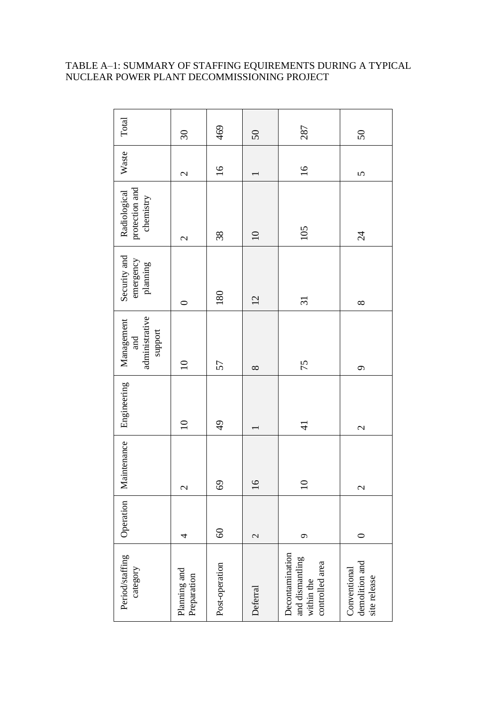# TABLE A–1: SUMMARY OF STAFFING EQUIREMENTS DURING A TYPICAL NUCLEAR POWER PLANT DECOMMISSIONING PROJECT

| Total                                          | $\overline{\mathcal{E}}$    | 469             | $50\,$                   | 287                                                                 | 50                                             |
|------------------------------------------------|-----------------------------|-----------------|--------------------------|---------------------------------------------------------------------|------------------------------------------------|
| Waste                                          | $\overline{\mathcal{C}}$    | $\overline{16}$ |                          | $\overline{16}$                                                     | $\overline{5}$                                 |
| protection and<br>chemistry<br>Radiological    | $\mathbf{\Omega}$           | 38              | $\Omega$                 | 105                                                                 | $\overline{24}$                                |
| Security and<br>emergency<br>planning          | $\circ$                     | 180             | 12                       | $\overline{\mathfrak{c}}$                                           | $\infty$                                       |
| administrative<br>Management<br>support<br>and | $\Omega$                    | 57              | $\infty$                 | 75                                                                  | $\sigma$                                       |
| Engineering                                    | $\overline{10}$             | $\frac{1}{6}$   |                          | $\overline{4}$                                                      | $\overline{\mathcal{C}}$                       |
| Maintenance                                    | $\mathcal{L}$               | 69              | $\circ$                  | $\circ$                                                             | $\mathcal{L}$                                  |
| Operation                                      | 4                           | $\odot$         | $\overline{\mathcal{L}}$ | $\sigma$                                                            | $\circ$                                        |
| Period/staffing<br>category                    | Planning and<br>Preparation | Post-operation  | Deferral                 | Decontamination<br>and dismantling<br>controlled area<br>within the | Conventional<br>demolition and<br>site release |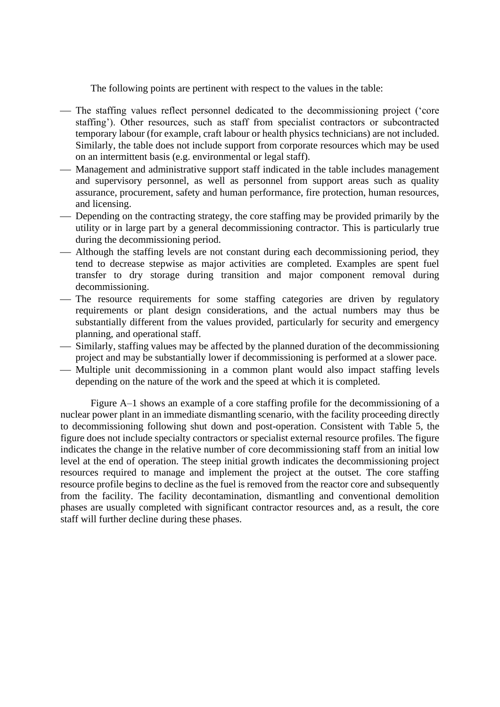The following points are pertinent with respect to the values in the table:

- The staffing values reflect personnel dedicated to the decommissioning project ('core staffing'). Other resources, such as staff from specialist contractors or subcontracted temporary labour (for example, craft labour or health physics technicians) are not included. Similarly, the table does not include support from corporate resources which may be used on an intermittent basis (e.g. environmental or legal staff).
- Management and administrative support staff indicated in the table includes management and supervisory personnel, as well as personnel from support areas such as quality assurance, procurement, safety and human performance, fire protection, human resources, and licensing.
- Depending on the contracting strategy, the core staffing may be provided primarily by the utility or in large part by a general decommissioning contractor. This is particularly true during the decommissioning period.
- Although the staffing levels are not constant during each decommissioning period, they tend to decrease stepwise as major activities are completed. Examples are spent fuel transfer to dry storage during transition and major component removal during decommissioning.
- The resource requirements for some staffing categories are driven by regulatory requirements or plant design considerations, and the actual numbers may thus be substantially different from the values provided, particularly for security and emergency planning, and operational staff.
- ⎯ Similarly, staffing values may be affected by the planned duration of the decommissioning project and may be substantially lower if decommissioning is performed at a slower pace.
- Multiple unit decommissioning in a common plant would also impact staffing levels depending on the nature of the work and the speed at which it is completed.

Figure A–1 shows an example of a core staffing profile for the decommissioning of a nuclear power plant in an immediate dismantling scenario, with the facility proceeding directly to decommissioning following shut down and post-operation. Consistent with Table 5, the figure does not include specialty contractors or specialist external resource profiles. The figure indicates the change in the relative number of core decommissioning staff from an initial low level at the end of operation. The steep initial growth indicates the decommissioning project resources required to manage and implement the project at the outset. The core staffing resource profile begins to decline as the fuel is removed from the reactor core and subsequently from the facility. The facility decontamination, dismantling and conventional demolition phases are usually completed with significant contractor resources and, as a result, the core staff will further decline during these phases.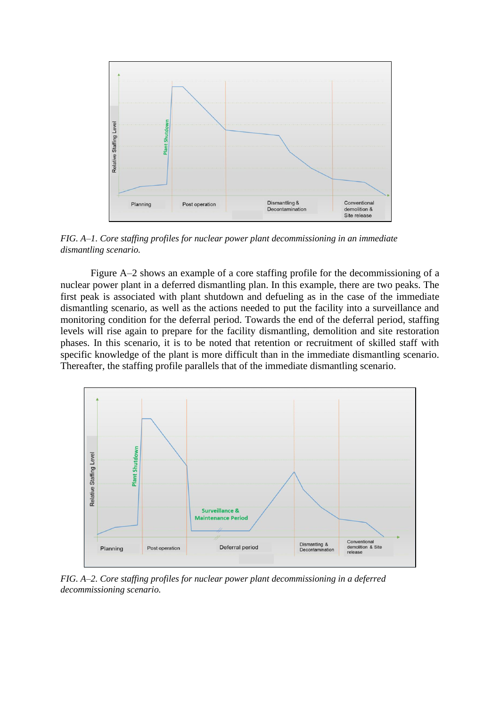

*FIG. A–1. Core staffing profiles for nuclear power plant decommissioning in an immediate dismantling scenario.*

Figure A–2 shows an example of a core staffing profile for the decommissioning of a nuclear power plant in a deferred dismantling plan. In this example, there are two peaks. The first peak is associated with plant shutdown and defueling as in the case of the immediate dismantling scenario, as well as the actions needed to put the facility into a surveillance and monitoring condition for the deferral period. Towards the end of the deferral period, staffing levels will rise again to prepare for the facility dismantling, demolition and site restoration phases. In this scenario, it is to be noted that retention or recruitment of skilled staff with specific knowledge of the plant is more difficult than in the immediate dismantling scenario. Thereafter, the staffing profile parallels that of the immediate dismantling scenario.



*FIG. A–2. Core staffing profiles for nuclear power plant decommissioning in a deferred decommissioning scenario.*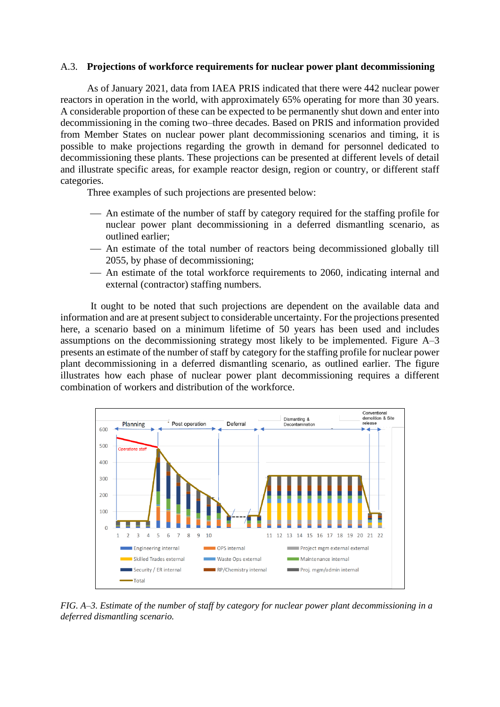### A.3. **Projections of workforce requirements for nuclear power plant decommissioning**

As of January 2021, data from IAEA PRIS indicated that there were 442 nuclear power reactors in operation in the world, with approximately 65% operating for more than 30 years. A considerable proportion of these can be expected to be permanently shut down and enter into decommissioning in the coming two–three decades. Based on PRIS and information provided from Member States on nuclear power plant decommissioning scenarios and timing, it is possible to make projections regarding the growth in demand for personnel dedicated to decommissioning these plants. These projections can be presented at different levels of detail and illustrate specific areas, for example reactor design, region or country, or different staff categories.

Three examples of such projections are presented below:

- An estimate of the number of staff by category required for the staffing profile for nuclear power plant decommissioning in a deferred dismantling scenario, as outlined earlier;
- An estimate of the total number of reactors being decommissioned globally till 2055, by phase of decommissioning;
- ⎯ An estimate of the total workforce requirements to 2060, indicating internal and external (contractor) staffing numbers.

It ought to be noted that such projections are dependent on the available data and information and are at present subject to considerable uncertainty. For the projections presented here, a scenario based on a minimum lifetime of 50 years has been used and includes assumptions on the decommissioning strategy most likely to be implemented. Figure A–3 presents an estimate of the number of staff by category for the staffing profile for nuclear power plant decommissioning in a deferred dismantling scenario, as outlined earlier. The figure illustrates how each phase of nuclear power plant decommissioning requires a different combination of workers and distribution of the workforce.



*FIG. A–3. Estimate of the number of staff by category for nuclear power plant decommissioning in a deferred dismantling scenario.*